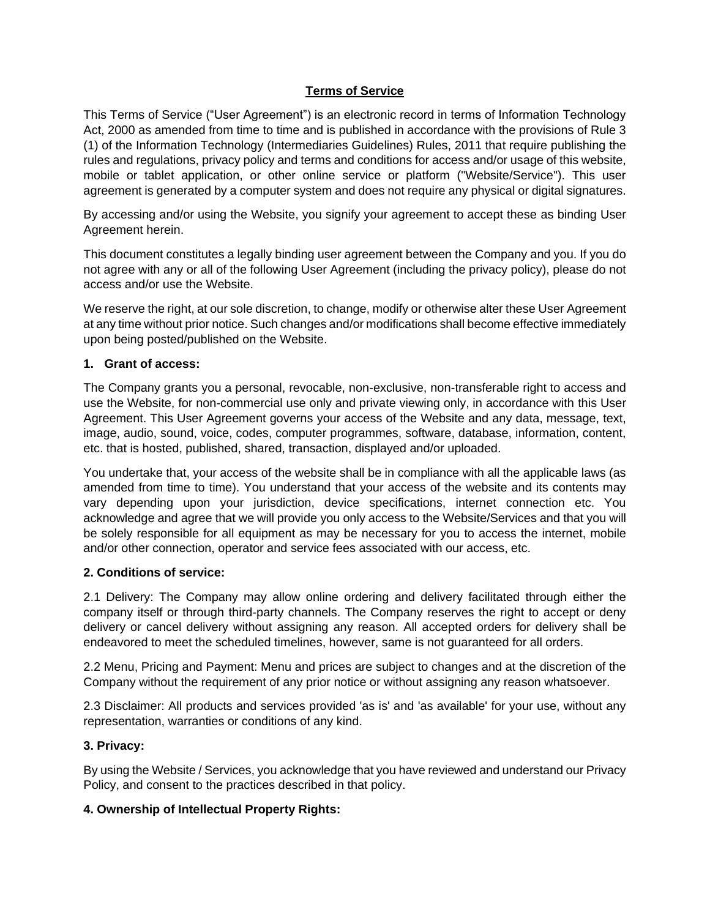# **Terms of Service**

This Terms of Service ("User Agreement") is an electronic record in terms of Information Technology Act, 2000 as amended from time to time and is published in accordance with the provisions of Rule 3 (1) of the Information Technology (Intermediaries Guidelines) Rules, 2011 that require publishing the rules and regulations, privacy policy and terms and conditions for access and/or usage of this website, mobile or tablet application, or other online service or platform ("Website/Service"). This user agreement is generated by a computer system and does not require any physical or digital signatures.

By accessing and/or using the Website, you signify your agreement to accept these as binding User Agreement herein.

This document constitutes a legally binding user agreement between the Company and you. If you do not agree with any or all of the following User Agreement (including the privacy policy), please do not access and/or use the Website.

We reserve the right, at our sole discretion, to change, modify or otherwise alter these User Agreement at any time without prior notice. Such changes and/or modifications shall become effective immediately upon being posted/published on the Website.

# **1. Grant of access:**

The Company grants you a personal, revocable, non-exclusive, non-transferable right to access and use the Website, for non-commercial use only and private viewing only, in accordance with this User Agreement. This User Agreement governs your access of the Website and any data, message, text, image, audio, sound, voice, codes, computer programmes, software, database, information, content, etc. that is hosted, published, shared, transaction, displayed and/or uploaded.

You undertake that, your access of the website shall be in compliance with all the applicable laws (as amended from time to time). You understand that your access of the website and its contents may vary depending upon your jurisdiction, device specifications, internet connection etc. You acknowledge and agree that we will provide you only access to the Website/Services and that you will be solely responsible for all equipment as may be necessary for you to access the internet, mobile and/or other connection, operator and service fees associated with our access, etc.

## **2. Conditions of service:**

2.1 Delivery: The Company may allow online ordering and delivery facilitated through either the company itself or through third-party channels. The Company reserves the right to accept or deny delivery or cancel delivery without assigning any reason. All accepted orders for delivery shall be endeavored to meet the scheduled timelines, however, same is not guaranteed for all orders.

2.2 Menu, Pricing and Payment: Menu and prices are subject to changes and at the discretion of the Company without the requirement of any prior notice or without assigning any reason whatsoever.

2.3 Disclaimer: All products and services provided 'as is' and 'as available' for your use, without any representation, warranties or conditions of any kind.

## **3. Privacy:**

By using the Website / Services, you acknowledge that you have reviewed and understand our Privacy Policy, and consent to the practices described in that policy.

# **4. Ownership of Intellectual Property Rights:**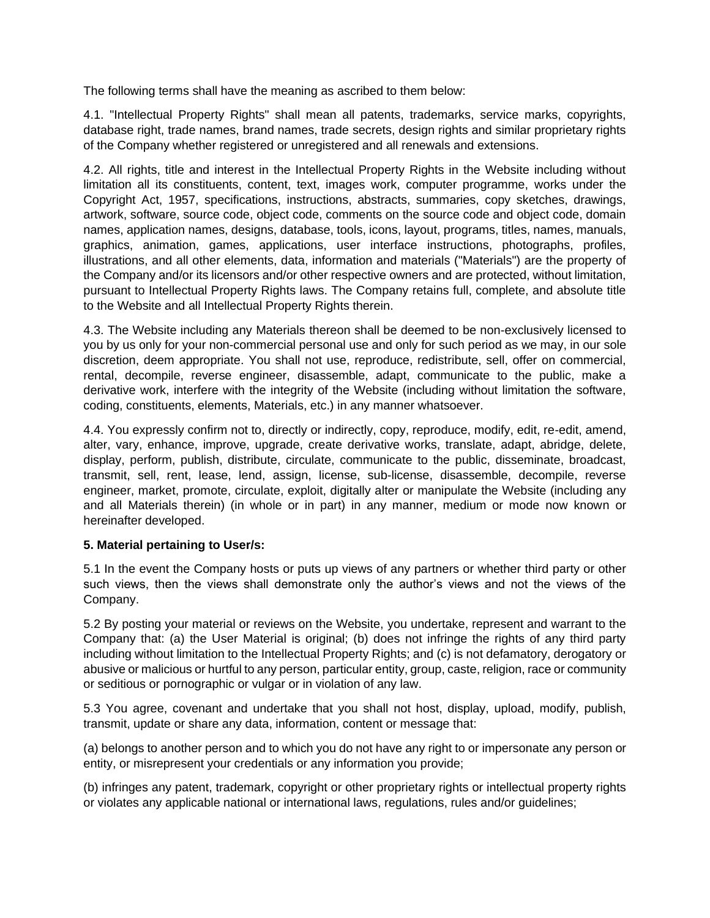The following terms shall have the meaning as ascribed to them below:

4.1. "Intellectual Property Rights" shall mean all patents, trademarks, service marks, copyrights, database right, trade names, brand names, trade secrets, design rights and similar proprietary rights of the Company whether registered or unregistered and all renewals and extensions.

4.2. All rights, title and interest in the Intellectual Property Rights in the Website including without limitation all its constituents, content, text, images work, computer programme, works under the Copyright Act, 1957, specifications, instructions, abstracts, summaries, copy sketches, drawings, artwork, software, source code, object code, comments on the source code and object code, domain names, application names, designs, database, tools, icons, layout, programs, titles, names, manuals, graphics, animation, games, applications, user interface instructions, photographs, profiles, illustrations, and all other elements, data, information and materials ("Materials") are the property of the Company and/or its licensors and/or other respective owners and are protected, without limitation, pursuant to Intellectual Property Rights laws. The Company retains full, complete, and absolute title to the Website and all Intellectual Property Rights therein.

4.3. The Website including any Materials thereon shall be deemed to be non-exclusively licensed to you by us only for your non-commercial personal use and only for such period as we may, in our sole discretion, deem appropriate. You shall not use, reproduce, redistribute, sell, offer on commercial, rental, decompile, reverse engineer, disassemble, adapt, communicate to the public, make a derivative work, interfere with the integrity of the Website (including without limitation the software, coding, constituents, elements, Materials, etc.) in any manner whatsoever.

4.4. You expressly confirm not to, directly or indirectly, copy, reproduce, modify, edit, re-edit, amend, alter, vary, enhance, improve, upgrade, create derivative works, translate, adapt, abridge, delete, display, perform, publish, distribute, circulate, communicate to the public, disseminate, broadcast, transmit, sell, rent, lease, lend, assign, license, sub-license, disassemble, decompile, reverse engineer, market, promote, circulate, exploit, digitally alter or manipulate the Website (including any and all Materials therein) (in whole or in part) in any manner, medium or mode now known or hereinafter developed.

# **5. Material pertaining to User/s:**

5.1 In the event the Company hosts or puts up views of any partners or whether third party or other such views, then the views shall demonstrate only the author's views and not the views of the Company.

5.2 By posting your material or reviews on the Website, you undertake, represent and warrant to the Company that: (a) the User Material is original; (b) does not infringe the rights of any third party including without limitation to the Intellectual Property Rights; and (c) is not defamatory, derogatory or abusive or malicious or hurtful to any person, particular entity, group, caste, religion, race or community or seditious or pornographic or vulgar or in violation of any law.

5.3 You agree, covenant and undertake that you shall not host, display, upload, modify, publish, transmit, update or share any data, information, content or message that:

(a) belongs to another person and to which you do not have any right to or impersonate any person or entity, or misrepresent your credentials or any information you provide;

(b) infringes any patent, trademark, copyright or other proprietary rights or intellectual property rights or violates any applicable national or international laws, regulations, rules and/or guidelines;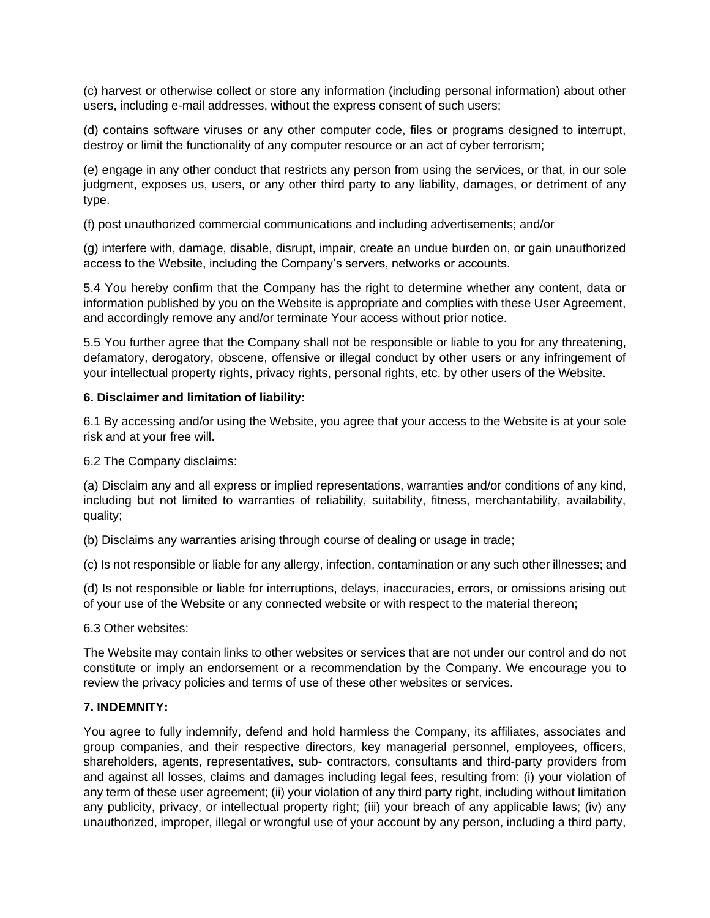(c) harvest or otherwise collect or store any information (including personal information) about other users, including e-mail addresses, without the express consent of such users;

(d) contains software viruses or any other computer code, files or programs designed to interrupt, destroy or limit the functionality of any computer resource or an act of cyber terrorism;

(e) engage in any other conduct that restricts any person from using the services, or that, in our sole judgment, exposes us, users, or any other third party to any liability, damages, or detriment of any type.

(f) post unauthorized commercial communications and including advertisements; and/or

(g) interfere with, damage, disable, disrupt, impair, create an undue burden on, or gain unauthorized access to the Website, including the Company's servers, networks or accounts.

5.4 You hereby confirm that the Company has the right to determine whether any content, data or information published by you on the Website is appropriate and complies with these User Agreement, and accordingly remove any and/or terminate Your access without prior notice.

5.5 You further agree that the Company shall not be responsible or liable to you for any threatening, defamatory, derogatory, obscene, offensive or illegal conduct by other users or any infringement of your intellectual property rights, privacy rights, personal rights, etc. by other users of the Website.

#### **6. Disclaimer and limitation of liability:**

6.1 By accessing and/or using the Website, you agree that your access to the Website is at your sole risk and at your free will.

6.2 The Company disclaims:

(a) Disclaim any and all express or implied representations, warranties and/or conditions of any kind, including but not limited to warranties of reliability, suitability, fitness, merchantability, availability, quality;

(b) Disclaims any warranties arising through course of dealing or usage in trade;

(c) Is not responsible or liable for any allergy, infection, contamination or any such other illnesses; and

(d) Is not responsible or liable for interruptions, delays, inaccuracies, errors, or omissions arising out of your use of the Website or any connected website or with respect to the material thereon;

6.3 Other websites:

The Website may contain links to other websites or services that are not under our control and do not constitute or imply an endorsement or a recommendation by the Company. We encourage you to review the privacy policies and terms of use of these other websites or services.

## **7. INDEMNITY:**

You agree to fully indemnify, defend and hold harmless the Company, its affiliates, associates and group companies, and their respective directors, key managerial personnel, employees, officers, shareholders, agents, representatives, sub- contractors, consultants and third-party providers from and against all losses, claims and damages including legal fees, resulting from: (i) your violation of any term of these user agreement; (ii) your violation of any third party right, including without limitation any publicity, privacy, or intellectual property right; (iii) your breach of any applicable laws; (iv) any unauthorized, improper, illegal or wrongful use of your account by any person, including a third party,